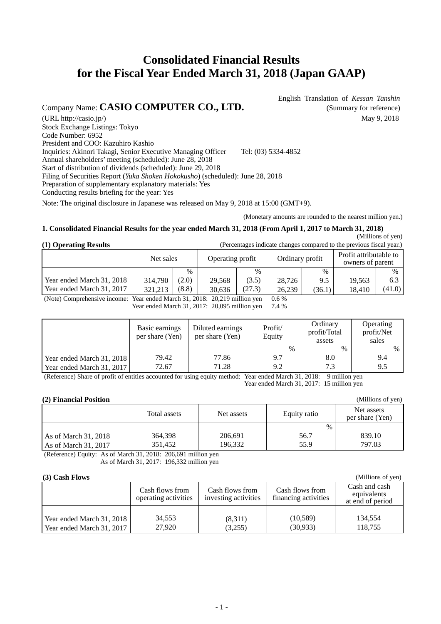# **Consolidated Financial Results for the Fiscal Year Ended March 31, 2018 (Japan GAAP)**

Company Name: **CASIO COMPUTER CO., LTD.** (Summary for reference)

English Translation of *Kessan Tanshin*

(URL http://casio.jp/) May 9, 2018 Stock Exchange Listings: Tokyo Code Number: 6952 President and COO: Kazuhiro Kashio Inquiries: Akinori Takagi, Senior Executive Managing Officer Tel: (03) 5334-4852 Annual shareholders' meeting (scheduled): June 28, 2018 Start of distribution of dividends (scheduled): June 29, 2018 Filing of Securities Report (*Yuka Shoken Hokokusho*) (scheduled): June 28, 2018 Preparation of supplementary explanatory materials: Yes Conducting results briefing for the year: Yes

Note: The original disclosure in Japanese was released on May 9, 2018 at 15:00 (GMT+9).

(Monetary amounts are rounded to the nearest million yen.)

### **1. Consolidated Financial Results for the year ended March 31, 2018 (From April 1, 2017 to March 31, 2018)**

### (Millions of yen)

(Millions of yen)

(Millions of yen)

| (1) Operating Result |  |  |
|----------------------|--|--|
|----------------------|--|--|

| (Percentages indicate changes compared to the previous fiscal year.)<br>(1) Operating Results |                               |       |        |                 |        |                                            |        |        |
|-----------------------------------------------------------------------------------------------|-------------------------------|-------|--------|-----------------|--------|--------------------------------------------|--------|--------|
|                                                                                               | Net sales<br>Operating profit |       |        | Ordinary profit |        | Profit attributable to<br>owners of parent |        |        |
|                                                                                               |                               | $\%$  |        | $\%$            |        | $\%$                                       |        | $\%$   |
| Year ended March 31, 2018                                                                     | 314,790                       | (2.0) | 29.568 | (3.5)           | 28.726 | 9.5                                        | 19.563 | 6.3    |
| Year ended March 31, 2017                                                                     | 321,213                       | (8.8) | 30.636 | (27.3)          | 26.239 | (36.1)                                     | 18.410 | (41.0) |

(Note) Comprehensive income: Year ended March 31, 2018: 20,219 million yen 0.6 %

Year ended March 31, 2017: 20,095 million yen 7.4 %

|                           | Basic earnings<br>per share (Yen) | Diluted earnings<br>per share (Yen) | Profit/<br>Equity | Ordinary<br>profit/Total<br>assets | <b>Operating</b><br>profit/Net<br>sales |
|---------------------------|-----------------------------------|-------------------------------------|-------------------|------------------------------------|-----------------------------------------|
|                           |                                   |                                     | $\%$              | $\frac{0}{0}$                      | $\%$                                    |
| Year ended March 31, 2018 | 79.42                             | 77.86                               | 9.7               | 8.0                                | 9.4                                     |
| Year ended March 31, 2017 | 72.67                             | 71.28                               | 9.2               | 7.3                                | 9.5                                     |

(Reference) Share of profit of entities accounted for using equity method: Year ended March 31, 2018: 9 million yen Year ended March 31, 2017: 15 million yen

#### **(2) Financial Position**

|                                              | Total assets       | Net assets         | Equity ratio         | Net assets<br>per share (Yen) |
|----------------------------------------------|--------------------|--------------------|----------------------|-------------------------------|
| As of March 31, 2018<br>As of March 31, 2017 | 364,398<br>351.452 | 206,691<br>196.332 | $\%$<br>56.7<br>55.9 | 839.10<br>797.03              |

(Reference) Equity: As of March 31, 2018: 206,691 million yen As of March 31, 2017: 196,332 million yen

### **(3) Cash Flows**

| $1 - 1 - 1 = 1$                                        |                                         |                                         |                                         |                                                  |
|--------------------------------------------------------|-----------------------------------------|-----------------------------------------|-----------------------------------------|--------------------------------------------------|
|                                                        | Cash flows from<br>operating activities | Cash flows from<br>investing activities | Cash flows from<br>financing activities | Cash and cash<br>equivalents<br>at end of period |
| Year ended March 31, 2018<br>Year ended March 31, 2017 | 34.553<br>27.920                        | (8,311)<br>(3,255)                      | (10, 589)<br>(30,933)                   | 134.554<br>118,755                               |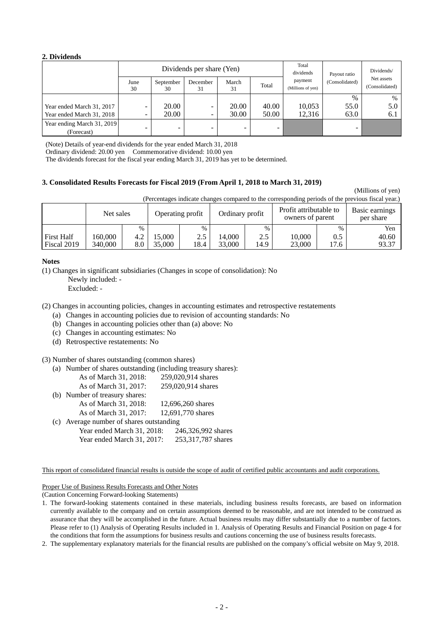### **2. Dividends**

|                            |            |                          | Dividends per share (Yen)              |       |       | Total<br>dividends           | Payout ratio   | Dividends/                   |
|----------------------------|------------|--------------------------|----------------------------------------|-------|-------|------------------------------|----------------|------------------------------|
|                            | June<br>30 | September<br>30          | March<br>December<br>Total<br>31<br>31 |       |       | payment<br>(Millions of yen) | (Consolidated) | Net assets<br>(Consolidated) |
|                            |            |                          |                                        |       |       |                              | $\%$           | $\%$                         |
| Year ended March 31, 2017  | -          | 20.00                    | Ξ.                                     | 20.00 | 40.00 | 10,053                       | 55.0           | 5.0                          |
| Year ended March 31, 2018  | -          | 20.00                    | -                                      | 30.00 | 50.00 | 12.316                       | 63.0           | 6.1                          |
| Year ending March 31, 2019 |            |                          |                                        | -     |       |                              |                |                              |
| (Forecast)                 |            | $\overline{\phantom{a}}$ |                                        |       |       |                              |                |                              |

(Note) Details of year-end dividends for the year ended March 31, 2018

Ordinary dividend: 20.00 yen Commemorative dividend: 10.00 yen

The dividends forecast for the fiscal year ending March 31, 2019 has yet to be determined.

#### **3. Consolidated Results Forecasts for Fiscal 2019 (From April 1, 2018 to March 31, 2019)**

(Millions of yen)

(Percentages indicate changes compared to the corresponding periods of the previous fiscal year.)

|                   | Net sales<br>Operating profit |      |        | Ordinary profit |        | ີ<br>Profit attributable to<br>owners of parent |        | Basic earnings<br>per share |       |
|-------------------|-------------------------------|------|--------|-----------------|--------|-------------------------------------------------|--------|-----------------------------|-------|
|                   |                               | $\%$ |        | $\%$            |        | $\%$                                            |        | $\%$                        | Yen   |
| <b>First Half</b> | 160.000                       | 4.2  | 5.000  | 2.5             | 14.000 | 2.5                                             | 10.000 | 0.5                         | 40.60 |
| Fiscal 2019       | 340.000                       | 8.0  | 35,000 | 18.4            | 33,000 | 14.9                                            | 23,000 | 17.6                        | 93.37 |

#### **Notes**

(1) Changes in significant subsidiaries (Changes in scope of consolidation): No

Newly included: -

Excluded: -

(2) Changes in accounting policies, changes in accounting estimates and retrospective restatements

- (a) Changes in accounting policies due to revision of accounting standards: No
- (b) Changes in accounting policies other than (a) above: No
- (c) Changes in accounting estimates: No
- (d) Retrospective restatements: No

(3) Number of shares outstanding (common shares)

(a) Number of shares outstanding (including treasury shares):

|     | As of March 31, 2018:                | 259,020,914 shares |
|-----|--------------------------------------|--------------------|
|     | As of March 31, 2017:                | 259,020,914 shares |
|     | (b) Number of treasury shares:       |                    |
|     | As of March 31, 2018:                | 12,696,260 shares  |
|     | As of March 31, 2017:                | 12,691,770 shares  |
| (c) | Average number of shares outstanding |                    |
|     | Year ended March 31, 2018:           | 246,326,992 shares |
|     | Year ended March 31, 2017:           | 253,317,787 shares |
|     |                                      |                    |

This report of consolidated financial results is outside the scope of audit of certified public accountants and audit corporations.

Proper Use of Business Results Forecasts and Other Notes

(Caution Concerning Forward-looking Statements)

1. The forward-looking statements contained in these materials, including business results forecasts, are based on information currently available to the company and on certain assumptions deemed to be reasonable, and are not intended to be construed as assurance that they will be accomplished in the future. Actual business results may differ substantially due to a number of factors. Please refer to (1) Analysis of Operating Results included in 1. Analysis of Operating Results and Financial Position on page 4 for the conditions that form the assumptions for business results and cautions concerning the use of business results forecasts.

2. The supplementary explanatory materials for the financial results are published on the company's official website on May 9, 2018.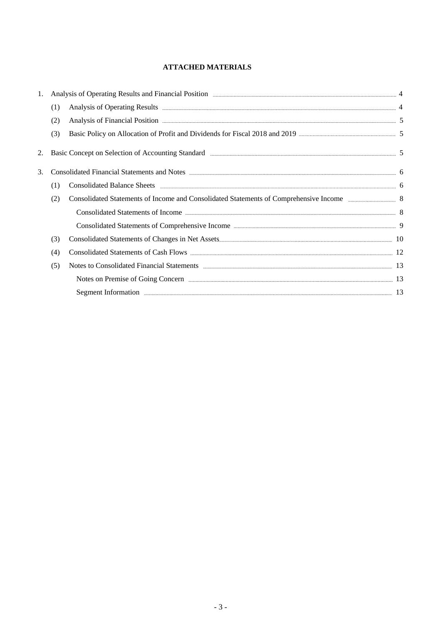## **ATTACHED MATERIALS**

| 1. |     |                                                                                                                                           |  |
|----|-----|-------------------------------------------------------------------------------------------------------------------------------------------|--|
|    | (1) |                                                                                                                                           |  |
|    | (2) | Analysis of Financial Position <b>Exercífical Position</b> 5                                                                              |  |
|    | (3) | Basic Policy on Allocation of Profit and Dividends for Fiscal 2018 and 2019 <b>manual constructs</b> and 2019 <b>5</b>                    |  |
| 2. |     |                                                                                                                                           |  |
| 3. |     | Consolidated Financial Statements and Notes <b>manufactures</b> and the statements of the statements of the statements and Notes <b>6</b> |  |
|    | (1) | Consolidated Balance Sheets <b>Executes</b> 6                                                                                             |  |
|    | (2) | Consolidated Statements of Income and Consolidated Statements of Comprehensive Income 388 88                                              |  |
|    |     | Consolidated Statements of Income                                                                                                         |  |
|    |     |                                                                                                                                           |  |
|    | (3) |                                                                                                                                           |  |
|    | (4) | Consolidated Statements of Cash Flows <b>Example 20</b> 12                                                                                |  |
|    | (5) | Notes to Consolidated Financial Statements <b>Exercise 2016</b> 13                                                                        |  |
|    |     |                                                                                                                                           |  |
|    |     | Segment Information 2014 13                                                                                                               |  |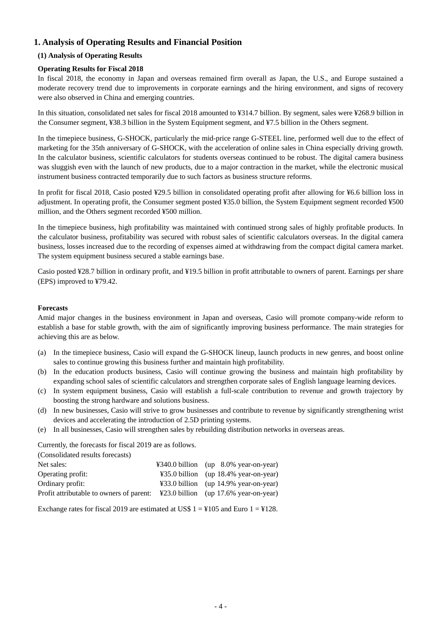## **1. Analysis of Operating Results and Financial Position**

## **(1) Analysis of Operating Results**

## **Operating Results for Fiscal 2018**

In fiscal 2018, the economy in Japan and overseas remained firm overall as Japan, the U.S., and Europe sustained a moderate recovery trend due to improvements in corporate earnings and the hiring environment, and signs of recovery were also observed in China and emerging countries.

In this situation, consolidated net sales for fiscal 2018 amounted to ¥314.7 billion. By segment, sales were ¥268.9 billion in the Consumer segment, ¥38.3 billion in the System Equipment segment, and ¥7.5 billion in the Others segment.

In the timepiece business, G-SHOCK, particularly the mid-price range G-STEEL line, performed well due to the effect of marketing for the 35th anniversary of G-SHOCK, with the acceleration of online sales in China especially driving growth. In the calculator business, scientific calculators for students overseas continued to be robust. The digital camera business was sluggish even with the launch of new products, due to a major contraction in the market, while the electronic musical instrument business contracted temporarily due to such factors as business structure reforms.

In profit for fiscal 2018, Casio posted ¥29.5 billion in consolidated operating profit after allowing for ¥6.6 billion loss in adjustment. In operating profit, the Consumer segment posted ¥35.0 billion, the System Equipment segment recorded ¥500 million, and the Others segment recorded ¥500 million.

In the timepiece business, high profitability was maintained with continued strong sales of highly profitable products. In the calculator business, profitability was secured with robust sales of scientific calculators overseas. In the digital camera business, losses increased due to the recording of expenses aimed at withdrawing from the compact digital camera market. The system equipment business secured a stable earnings base.

Casio posted ¥28.7 billion in ordinary profit, and ¥19.5 billion in profit attributable to owners of parent. Earnings per share (EPS) improved to ¥79.42.

#### **Forecasts**

Amid major changes in the business environment in Japan and overseas, Casio will promote company-wide reform to establish a base for stable growth, with the aim of significantly improving business performance. The main strategies for achieving this are as below.

- (a) In the timepiece business, Casio will expand the G-SHOCK lineup, launch products in new genres, and boost online sales to continue growing this business further and maintain high profitability.
- (b) In the education products business, Casio will continue growing the business and maintain high profitability by expanding school sales of scientific calculators and strengthen corporate sales of English language learning devices.
- (c) In system equipment business, Casio will establish a full-scale contribution to revenue and growth trajectory by boosting the strong hardware and solutions business.
- (d) In new businesses, Casio will strive to grow businesses and contribute to revenue by significantly strengthening wrist devices and accelerating the introduction of 2.5D printing systems.
- (e) In all businesses, Casio will strengthen sales by rebuilding distribution networks in overseas areas.

Currently, the forecasts for fiscal 2019 are as follows.

| (Consolidated results forecasts)         |                                                                    |
|------------------------------------------|--------------------------------------------------------------------|
| Net sales:                               | $\text{\textsterling}340.0 \text{ billion}$ (up 8.0% year-on-year) |
| Operating profit:                        | ¥35.0 billion (up 18.4% year-on-year)                              |
| Ordinary profit:                         | $\text{\#33.0 billion}$ (up 14.9% year-on-year)                    |
| Profit attributable to owners of parent: | $\text{\textdegree}23.0 \text{ billion}$ (up 17.6% year-on-year)   |

Exchange rates for fiscal 2019 are estimated at US\$  $1 = 4105$  and Euro  $1 = 4128$ .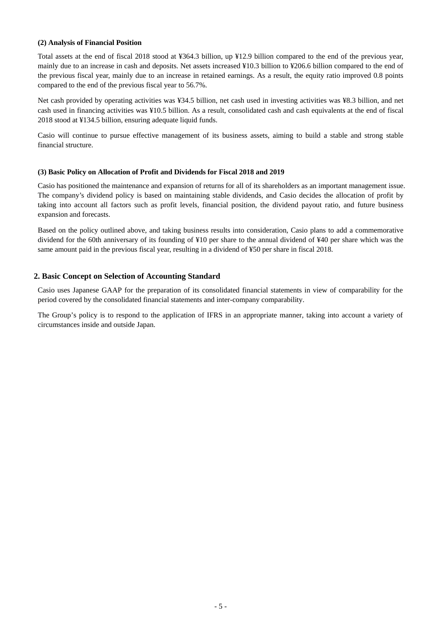#### **(2) Analysis of Financial Position**

Total assets at the end of fiscal 2018 stood at ¥364.3 billion, up ¥12.9 billion compared to the end of the previous year, mainly due to an increase in cash and deposits. Net assets increased ¥10.3 billion to ¥206.6 billion compared to the end of the previous fiscal year, mainly due to an increase in retained earnings. As a result, the equity ratio improved 0.8 points compared to the end of the previous fiscal year to 56.7%.

Net cash provided by operating activities was ¥34.5 billion, net cash used in investing activities was ¥8.3 billion, and net cash used in financing activities was ¥10.5 billion. As a result, consolidated cash and cash equivalents at the end of fiscal 2018 stood at ¥134.5 billion, ensuring adequate liquid funds.

Casio will continue to pursue effective management of its business assets, aiming to build a stable and strong stable financial structure.

#### **(3) Basic Policy on Allocation of Profit and Dividends for Fiscal 2018 and 2019**

Casio has positioned the maintenance and expansion of returns for all of its shareholders as an important management issue. The company's dividend policy is based on maintaining stable dividends, and Casio decides the allocation of profit by taking into account all factors such as profit levels, financial position, the dividend payout ratio, and future business expansion and forecasts.

Based on the policy outlined above, and taking business results into consideration, Casio plans to add a commemorative dividend for the 60th anniversary of its founding of ¥10 per share to the annual dividend of ¥40 per share which was the same amount paid in the previous fiscal year, resulting in a dividend of ¥50 per share in fiscal 2018.

## **2. Basic Concept on Selection of Accounting Standard**

Casio uses Japanese GAAP for the preparation of its consolidated financial statements in view of comparability for the period covered by the consolidated financial statements and inter-company comparability.

The Group's policy is to respond to the application of IFRS in an appropriate manner, taking into account a variety of circumstances inside and outside Japan.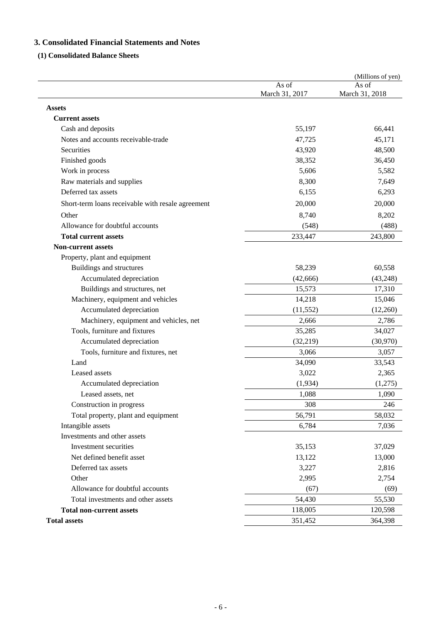## **3. Consolidated Financial Statements and Notes**

## **(1) Consolidated Balance Sheets**

|                                                   |                         | (Millions of yen)       |
|---------------------------------------------------|-------------------------|-------------------------|
|                                                   | As of<br>March 31, 2017 | As of<br>March 31, 2018 |
| <b>Assets</b>                                     |                         |                         |
| <b>Current assets</b>                             |                         |                         |
| Cash and deposits                                 | 55,197                  | 66,441                  |
| Notes and accounts receivable-trade               | 47,725                  | 45,171                  |
| Securities                                        | 43,920                  | 48,500                  |
| Finished goods                                    | 38,352                  | 36,450                  |
| Work in process                                   | 5,606                   | 5,582                   |
| Raw materials and supplies                        | 8,300                   | 7,649                   |
| Deferred tax assets                               | 6,155                   | 6,293                   |
| Short-term loans receivable with resale agreement | 20,000                  | 20,000                  |
| Other                                             | 8,740                   | 8,202                   |
| Allowance for doubtful accounts                   | (548)                   | (488)                   |
| <b>Total current assets</b>                       | 233,447                 | 243,800                 |
| <b>Non-current assets</b>                         |                         |                         |
| Property, plant and equipment                     |                         |                         |
| Buildings and structures                          | 58,239                  | 60,558                  |
| Accumulated depreciation                          | (42, 666)               | (43,248)                |
| Buildings and structures, net                     | 15,573                  | 17,310                  |
| Machinery, equipment and vehicles                 | 14,218                  | 15,046                  |
| Accumulated depreciation                          | (11, 552)               | (12,260)                |
| Machinery, equipment and vehicles, net            | 2,666                   | 2,786                   |
| Tools, furniture and fixtures                     | 35,285                  | 34,027                  |
| Accumulated depreciation                          | (32, 219)               | (30,970)                |
| Tools, furniture and fixtures, net                | 3,066                   | 3,057                   |
| Land                                              | 34,090                  | 33,543                  |
| Leased assets                                     | 3,022                   | 2,365                   |
| Accumulated depreciation                          | (1,934)                 | (1,275)                 |
| Leased assets, net                                | 1,088                   | 1,090                   |
| Construction in progress                          | 308                     | 246                     |
| Total property, plant and equipment               | 56,791                  | 58,032                  |
| Intangible assets                                 | 6,784                   | 7,036                   |
| Investments and other assets                      |                         |                         |
| Investment securities                             | 35,153                  | 37,029                  |
| Net defined benefit asset                         | 13,122                  | 13,000                  |
| Deferred tax assets                               | 3,227                   | 2,816                   |
| Other                                             | 2,995                   | 2,754                   |
| Allowance for doubtful accounts                   | (67)                    | (69)                    |
| Total investments and other assets                | 54,430                  | 55,530                  |
| <b>Total non-current assets</b>                   | 118,005                 | 120,598                 |
| <b>Total assets</b>                               | 351,452                 | 364,398                 |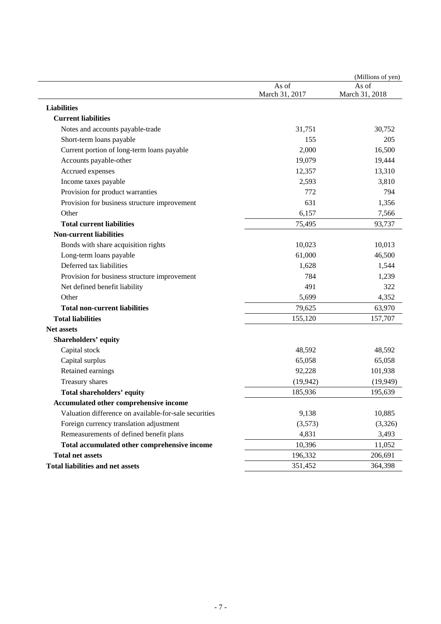|                                                       |                         | (Millions of yen)       |
|-------------------------------------------------------|-------------------------|-------------------------|
|                                                       | As of<br>March 31, 2017 | As of<br>March 31, 2018 |
| <b>Liabilities</b>                                    |                         |                         |
| <b>Current liabilities</b>                            |                         |                         |
| Notes and accounts payable-trade                      | 31,751                  | 30,752                  |
| Short-term loans payable                              | 155                     | 205                     |
| Current portion of long-term loans payable            | 2,000                   | 16,500                  |
| Accounts payable-other                                | 19,079                  | 19,444                  |
| Accrued expenses                                      | 12,357                  | 13,310                  |
| Income taxes payable                                  | 2,593                   | 3,810                   |
| Provision for product warranties                      | 772                     | 794                     |
| Provision for business structure improvement          | 631                     | 1,356                   |
| Other                                                 | 6,157                   | 7,566                   |
| <b>Total current liabilities</b>                      | 75,495                  | 93,737                  |
| <b>Non-current liabilities</b>                        |                         |                         |
| Bonds with share acquisition rights                   | 10,023                  | 10,013                  |
| Long-term loans payable                               | 61,000                  | 46,500                  |
| Deferred tax liabilities                              | 1,628                   | 1,544                   |
| Provision for business structure improvement          | 784                     | 1,239                   |
| Net defined benefit liability                         | 491                     | 322                     |
| Other                                                 | 5,699                   | 4,352                   |
| <b>Total non-current liabilities</b>                  | 79,625                  | 63,970                  |
| <b>Total liabilities</b>                              | 155,120                 | 157,707                 |
| <b>Net assets</b>                                     |                         |                         |
| <b>Shareholders' equity</b>                           |                         |                         |
| Capital stock                                         | 48,592                  | 48,592                  |
| Capital surplus                                       | 65,058                  | 65,058                  |
| Retained earnings                                     | 92,228                  | 101,938                 |
| Treasury shares                                       | (19, 942)               | (19, 949)               |
| <b>Total shareholders' equity</b>                     | 185,936                 | 195,639                 |
| <b>Accumulated other comprehensive income</b>         |                         |                         |
| Valuation difference on available-for-sale securities | 9,138                   | 10,885                  |
| Foreign currency translation adjustment               | (3,573)                 | (3,326)                 |
| Remeasurements of defined benefit plans               | 4,831                   | 3,493                   |
| Total accumulated other comprehensive income          | 10,396                  | 11,052                  |
| <b>Total net assets</b>                               | 196,332                 | 206,691                 |
| <b>Total liabilities and net assets</b>               | 351,452                 | 364,398                 |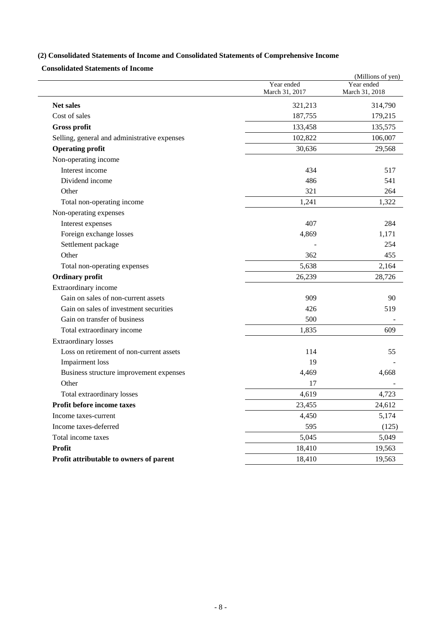# **(2) Consolidated Statements of Income and Consolidated Statements of Comprehensive Income**

**Consolidated Statements of Income** 

|                                              |                              | (Millions of yen)            |
|----------------------------------------------|------------------------------|------------------------------|
|                                              | Year ended<br>March 31, 2017 | Year ended<br>March 31, 2018 |
| <b>Net sales</b>                             | 321,213                      | 314,790                      |
| Cost of sales                                | 187,755                      | 179,215                      |
| Gross profit                                 | 133,458                      | 135,575                      |
| Selling, general and administrative expenses | 102,822                      | 106,007                      |
| <b>Operating profit</b>                      | 30,636                       | 29,568                       |
| Non-operating income                         |                              |                              |
| Interest income                              | 434                          | 517                          |
| Dividend income                              | 486                          | 541                          |
| Other                                        | 321                          | 264                          |
| Total non-operating income                   | 1,241                        | 1,322                        |
| Non-operating expenses                       |                              |                              |
| Interest expenses                            | 407                          | 284                          |
| Foreign exchange losses                      | 4,869                        | 1,171                        |
| Settlement package                           |                              | 254                          |
| Other                                        | 362                          | 455                          |
| Total non-operating expenses                 | 5,638                        | 2,164                        |
| <b>Ordinary profit</b>                       | 26,239                       | 28,726                       |
| Extraordinary income                         |                              |                              |
| Gain on sales of non-current assets          | 909                          | 90                           |
| Gain on sales of investment securities       | 426                          | 519                          |
| Gain on transfer of business                 | 500                          |                              |
| Total extraordinary income                   | 1,835                        | 609                          |
| <b>Extraordinary losses</b>                  |                              |                              |
| Loss on retirement of non-current assets     | 114                          | 55                           |
| <b>Impairment</b> loss                       | 19                           |                              |
| Business structure improvement expenses      | 4,469                        | 4,668                        |
| Other                                        | 17                           |                              |
| Total extraordinary losses                   | 4,619                        | 4,723                        |
| Profit before income taxes                   | 23,455                       | 24,612                       |
| Income taxes-current                         | 4,450                        | 5,174                        |
| Income taxes-deferred                        | 595                          | (125)                        |
| Total income taxes                           | 5,045                        | 5,049                        |
| <b>Profit</b>                                | 18,410                       | 19,563                       |
| Profit attributable to owners of parent      | 18,410                       | 19,563                       |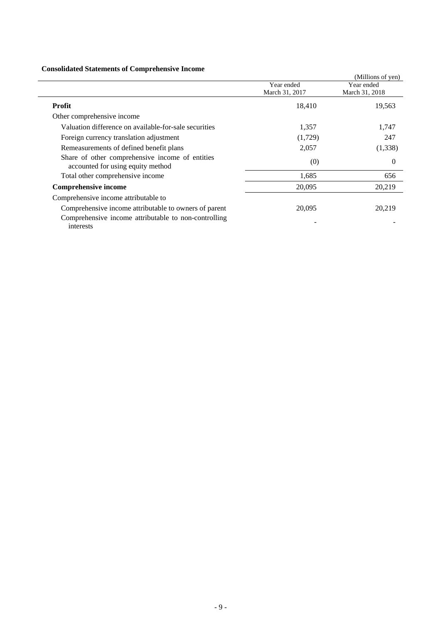## **Consolidated Statements of Comprehensive Income**

| Consolidated Statements of Complements of Income                                     |                |                   |
|--------------------------------------------------------------------------------------|----------------|-------------------|
|                                                                                      |                | (Millions of yen) |
|                                                                                      | Year ended     | Year ended        |
|                                                                                      | March 31, 2017 | March 31, 2018    |
| <b>Profit</b>                                                                        | 18,410         | 19,563            |
| Other comprehensive income                                                           |                |                   |
| Valuation difference on available-for-sale securities                                | 1,357          | 1,747             |
| Foreign currency translation adjustment                                              | (1,729)        | 247               |
| Remeasurements of defined benefit plans                                              | 2,057          | (1,338)           |
| Share of other comprehensive income of entities<br>accounted for using equity method | (0)            | $\Omega$          |
| Total other comprehensive income                                                     | 1,685          | 656               |
| <b>Comprehensive income</b>                                                          | 20,095         | 20,219            |
| Comprehensive income attributable to                                                 |                |                   |
| Comprehensive income attributable to owners of parent                                | 20,095         | 20,219            |
| Comprehensive income attributable to non-controlling<br>interests                    |                |                   |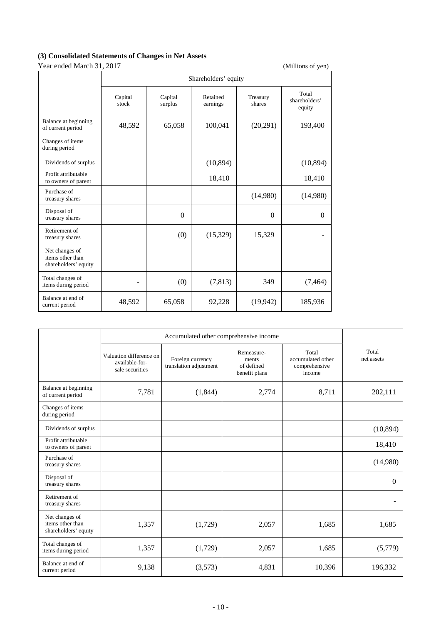# **(3) Consolidated Statements of Changes in Net Assets**

Year ended March 31, 2017 (Millions of yen)

| <b>Teal Under March 91, 2017</b>                           |                          |                    |                      |                    | $($ winnons or $y$ en $y$        |  |  |
|------------------------------------------------------------|--------------------------|--------------------|----------------------|--------------------|----------------------------------|--|--|
|                                                            | Shareholders' equity     |                    |                      |                    |                                  |  |  |
|                                                            | Capital<br>stock         | Capital<br>surplus | Retained<br>earnings | Treasury<br>shares | Total<br>shareholders'<br>equity |  |  |
| Balance at beginning<br>of current period                  | 48,592                   | 65,058             | 100,041              | (20,291)           | 193,400                          |  |  |
| Changes of items<br>during period                          |                          |                    |                      |                    |                                  |  |  |
| Dividends of surplus                                       |                          |                    | (10, 894)            |                    | (10, 894)                        |  |  |
| Profit attributable<br>to owners of parent                 |                          |                    | 18,410               |                    | 18,410                           |  |  |
| Purchase of<br>treasury shares                             |                          |                    |                      | (14,980)           | (14,980)                         |  |  |
| Disposal of<br>treasury shares                             |                          | $\Omega$           |                      | $\theta$           | $\Omega$                         |  |  |
| Retirement of<br>treasury shares                           |                          | (0)                | (15,329)             | 15,329             | -                                |  |  |
| Net changes of<br>items other than<br>shareholders' equity |                          |                    |                      |                    |                                  |  |  |
| Total changes of<br>items during period                    | $\overline{\phantom{0}}$ | (0)                | (7, 813)             | 349                | (7, 464)                         |  |  |
| Balance at end of<br>current period                        | 48,592                   | 65,058             | 92,228               | (19, 942)          | 185,936                          |  |  |

|                                                            | Accumulated other comprehensive income                       |                                            |                                                    |                                                       |                     |  |
|------------------------------------------------------------|--------------------------------------------------------------|--------------------------------------------|----------------------------------------------------|-------------------------------------------------------|---------------------|--|
|                                                            | Valuation difference on<br>available-for-<br>sale securities | Foreign currency<br>translation adjustment | Remeasure-<br>ments<br>of defined<br>benefit plans | Total<br>accumulated other<br>comprehensive<br>income | Total<br>net assets |  |
| Balance at beginning<br>of current period                  | 7,781                                                        | (1, 844)                                   | 2,774                                              | 8,711                                                 | 202,111             |  |
| Changes of items<br>during period                          |                                                              |                                            |                                                    |                                                       |                     |  |
| Dividends of surplus                                       |                                                              |                                            |                                                    |                                                       | (10, 894)           |  |
| Profit attributable<br>to owners of parent                 |                                                              |                                            |                                                    |                                                       | 18,410              |  |
| Purchase of<br>treasury shares                             |                                                              |                                            |                                                    |                                                       | (14,980)            |  |
| Disposal of<br>treasury shares                             |                                                              |                                            |                                                    |                                                       | $\Omega$            |  |
| Retirement of<br>treasury shares                           |                                                              |                                            |                                                    |                                                       |                     |  |
| Net changes of<br>items other than<br>shareholders' equity | 1,357                                                        | (1,729)                                    | 2,057                                              | 1,685                                                 | 1,685               |  |
| Total changes of<br>items during period                    | 1,357                                                        | (1,729)                                    | 2,057                                              | 1,685                                                 | (5,779)             |  |
| Balance at end of<br>current period                        | 9,138                                                        | (3,573)                                    | 4,831                                              | 10,396                                                | 196,332             |  |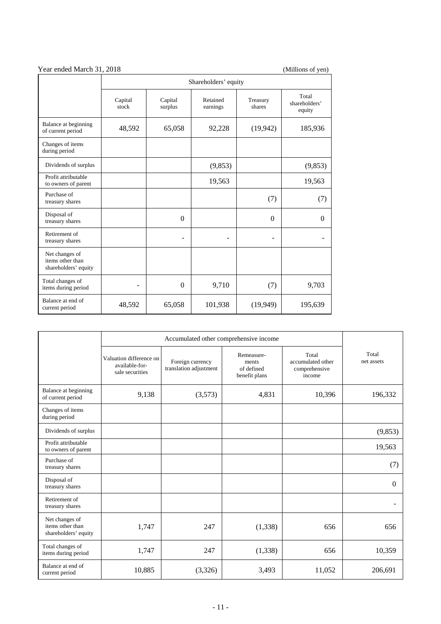| Year ended March 31, 2018                                  |                      |                    |                      |                    | (Millions of yen)                |  |  |
|------------------------------------------------------------|----------------------|--------------------|----------------------|--------------------|----------------------------------|--|--|
|                                                            | Shareholders' equity |                    |                      |                    |                                  |  |  |
|                                                            | Capital<br>stock     | Capital<br>surplus | Retained<br>earnings | Treasury<br>shares | Total<br>shareholders'<br>equity |  |  |
| Balance at beginning<br>of current period                  | 48,592               | 65,058             | 92,228               | (19, 942)          | 185,936                          |  |  |
| Changes of items<br>during period                          |                      |                    |                      |                    |                                  |  |  |
| Dividends of surplus                                       |                      |                    | (9,853)              |                    | (9, 853)                         |  |  |
| Profit attributable<br>to owners of parent                 |                      |                    | 19,563               |                    | 19,563                           |  |  |
| Purchase of<br>treasury shares                             |                      |                    |                      | (7)                | (7)                              |  |  |
| Disposal of<br>treasury shares                             |                      | $\Omega$           |                      | $\Omega$           | $\Omega$                         |  |  |
| Retirement of<br>treasury shares                           |                      |                    |                      |                    | -                                |  |  |
| Net changes of<br>items other than<br>shareholders' equity |                      |                    |                      |                    |                                  |  |  |
| Total changes of<br>items during period                    |                      | $\boldsymbol{0}$   | 9,710                | (7)                | 9,703                            |  |  |
| Balance at end of<br>current period                        | 48,592               | 65,058             | 101,938              | (19, 949)          | 195,639                          |  |  |

|                                                            | Accumulated other comprehensive income                       |                                            |                                                    |                                                       |                     |  |
|------------------------------------------------------------|--------------------------------------------------------------|--------------------------------------------|----------------------------------------------------|-------------------------------------------------------|---------------------|--|
|                                                            | Valuation difference on<br>available-for-<br>sale securities | Foreign currency<br>translation adjustment | Remeasure-<br>ments<br>of defined<br>benefit plans | Total<br>accumulated other<br>comprehensive<br>income | Total<br>net assets |  |
| Balance at beginning<br>of current period                  | 9,138                                                        | (3,573)                                    | 4,831                                              | 10,396                                                | 196,332             |  |
| Changes of items<br>during period                          |                                                              |                                            |                                                    |                                                       |                     |  |
| Dividends of surplus                                       |                                                              |                                            |                                                    |                                                       | (9,853)             |  |
| Profit attributable<br>to owners of parent                 |                                                              |                                            |                                                    |                                                       | 19,563              |  |
| Purchase of<br>treasury shares                             |                                                              |                                            |                                                    |                                                       | (7)                 |  |
| Disposal of<br>treasury shares                             |                                                              |                                            |                                                    |                                                       | $\Omega$            |  |
| Retirement of<br>treasury shares                           |                                                              |                                            |                                                    |                                                       |                     |  |
| Net changes of<br>items other than<br>shareholders' equity | 1,747                                                        | 247                                        | (1, 338)                                           | 656                                                   | 656                 |  |
| Total changes of<br>items during period                    | 1,747                                                        | 247                                        | (1, 338)                                           | 656                                                   | 10,359              |  |
| Balance at end of<br>current period                        | 10,885                                                       | (3,326)                                    | 3,493                                              | 11,052                                                | 206,691             |  |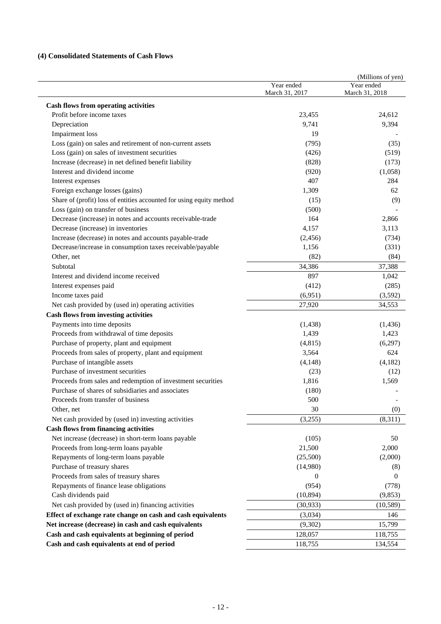## **(4) Consolidated Statements of Cash Flows**

|                                                                      | Year ended<br>March 31, 2017 | (Millions of yen)<br>Year ended<br>March 31, 2018 |
|----------------------------------------------------------------------|------------------------------|---------------------------------------------------|
| <b>Cash flows from operating activities</b>                          |                              |                                                   |
| Profit before income taxes                                           | 23,455                       | 24,612                                            |
| Depreciation                                                         | 9,741                        | 9,394                                             |
| Impairment loss                                                      | 19                           |                                                   |
| Loss (gain) on sales and retirement of non-current assets            | (795)                        | (35)                                              |
| Loss (gain) on sales of investment securities                        | (426)                        | (519)                                             |
| Increase (decrease) in net defined benefit liability                 | (828)                        | (173)                                             |
| Interest and dividend income                                         | (920)                        | (1,058)                                           |
| Interest expenses                                                    | 407                          | 284                                               |
| Foreign exchange losses (gains)                                      | 1,309                        | 62                                                |
| Share of (profit) loss of entities accounted for using equity method | (15)                         | (9)                                               |
| Loss (gain) on transfer of business                                  | (500)                        |                                                   |
| Decrease (increase) in notes and accounts receivable-trade           | 164                          | 2,866                                             |
| Decrease (increase) in inventories                                   | 4,157                        | 3,113                                             |
| Increase (decrease) in notes and accounts payable-trade              | (2, 456)                     | (734)                                             |
| Decrease/increase in consumption taxes receivable/payable            | 1,156                        | (331)                                             |
| Other, net                                                           | (82)                         | (84)                                              |
| Subtotal                                                             | 34,386                       | 37,388                                            |
| Interest and dividend income received                                | 897                          | 1,042                                             |
| Interest expenses paid                                               | (412)                        | (285)                                             |
| Income taxes paid                                                    | (6,951)                      | (3,592)                                           |
| Net cash provided by (used in) operating activities                  | 27,920                       | 34,553                                            |
| <b>Cash flows from investing activities</b>                          |                              |                                                   |
| Payments into time deposits                                          | (1, 438)                     | (1, 436)                                          |
| Proceeds from withdrawal of time deposits                            | 1,439                        | 1,423                                             |
| Purchase of property, plant and equipment                            | (4, 815)                     | (6,297)                                           |
| Proceeds from sales of property, plant and equipment                 | 3,564                        | 624                                               |
| Purchase of intangible assets                                        | (4,148)                      | (4,182)                                           |
| Purchase of investment securities                                    | (23)                         | (12)                                              |
| Proceeds from sales and redemption of investment securities          | 1,816                        | 1,569                                             |
| Purchase of shares of subsidiaries and associates                    | (180)                        |                                                   |
| Proceeds from transfer of business                                   | 500                          |                                                   |
| Other, net                                                           | 30                           | (0)                                               |
| Net cash provided by (used in) investing activities                  | (3,255)                      | (8,311)                                           |
| <b>Cash flows from financing activities</b>                          |                              |                                                   |
| Net increase (decrease) in short-term loans payable                  | (105)                        | 50                                                |
| Proceeds from long-term loans payable                                | 21,500                       | 2,000                                             |
| Repayments of long-term loans payable                                | (25,500)                     | (2,000)                                           |
| Purchase of treasury shares                                          | (14,980)                     | (8)                                               |
| Proceeds from sales of treasury shares                               | $\overline{0}$               | 0                                                 |
| Repayments of finance lease obligations                              | (954)                        | (778)                                             |
| Cash dividends paid                                                  | (10, 894)                    | (9, 853)                                          |
| Net cash provided by (used in) financing activities                  | (30, 933)                    | (10, 589)                                         |
| Effect of exchange rate change on cash and cash equivalents          | (3,034)                      | 146                                               |
| Net increase (decrease) in cash and cash equivalents                 | (9,302)                      | 15,799                                            |
| Cash and cash equivalents at beginning of period                     | 128,057                      | 118,755                                           |
| Cash and cash equivalents at end of period                           | 118,755                      | 134,554                                           |
|                                                                      |                              |                                                   |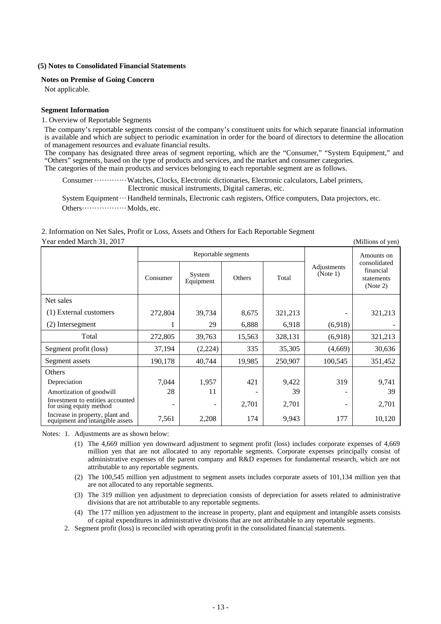#### **(5) Notes to Consolidated Financial Statements**

#### **Notes on Premise of Going Concern**

Not applicable.

#### **Segment Information**

#### 1. Overview of Reportable Segments

The company's reportable segments consist of the company's constituent units for which separate financial information is available and which are subject to periodic examination in order for the board of directors to determine the allocation of management resources and evaluate financial results.

The company has designated three areas of segment reporting, which are the "Consumer," "System Equipment," and "Others" segments, based on the type of products and services, and the market and consumer categories. The categories of the main products and services belonging to each reportable segment are as follows.

Consumer ··············· Watches, Clocks, Electronic dictionaries, Electronic calculators, Label printers, Electronic musical instruments, Digital cameras, etc.

System Equipment ··· Handheld terminals, Electronic cash registers, Office computers, Data projectors, etc. Others ······················ Molds, etc.

| Year ended March 31, 2017<br>(Millions of yen)                     |          |                     |                     |         |                          |                                                                   |  |
|--------------------------------------------------------------------|----------|---------------------|---------------------|---------|--------------------------|-------------------------------------------------------------------|--|
|                                                                    |          |                     | Reportable segments |         |                          | Amounts on<br>consolidated<br>financial<br>statements<br>(Note 2) |  |
|                                                                    | Consumer | System<br>Equipment | Others              | Total   | Adjustments<br>(Note 1)  |                                                                   |  |
| Net sales                                                          |          |                     |                     |         |                          |                                                                   |  |
| (1) External customers                                             | 272,804  | 39,734              | 8,675               | 321,213 |                          | 321,213                                                           |  |
| (2) Intersegment                                                   |          | 29                  | 6,888               | 6,918   | (6,918)                  |                                                                   |  |
| Total                                                              | 272,805  | 39,763              | 15,563              | 328,131 | (6,918)                  | 321,213                                                           |  |
| Segment profit (loss)                                              | 37,194   | (2,224)             | 335                 | 35,305  | (4,669)                  | 30,636                                                            |  |
| Segment assets                                                     | 190,178  | 40,744              | 19,985              | 250,907 | 100,545                  | 351,452                                                           |  |
| Others                                                             |          |                     |                     |         |                          |                                                                   |  |
| Depreciation                                                       | 7,044    | 1,957               | 421                 | 9,422   | 319                      | 9,741                                                             |  |
| Amortization of goodwill                                           | 28       | 11                  |                     | 39      |                          | 39                                                                |  |
| Investment to entities accounted<br>for using equity method        |          |                     | 2,701               | 2,701   | $\overline{\phantom{0}}$ | 2,701                                                             |  |
| Increase in property, plant and<br>equipment and intangible assets | 7,561    | 2,208               | 174                 | 9,943   | 177                      | 10,120                                                            |  |

## 2. Information on Net Sales, Profit or Loss, Assets and Others for Each Reportable Segment

Notes: 1. Adjustments are as shown below:

- (1) The 4,669 million yen downward adjustment to segment profit (loss) includes corporate expenses of 4,669 million yen that are not allocated to any reportable segments. Corporate expenses principally consist of administrative expenses of the parent company and R&D expenses for fundamental research, which are not attributable to any reportable segments.
- (2) The 100,545 million yen adjustment to segment assets includes corporate assets of 101,134 million yen that are not allocated to any reportable segments.
- (3) The 319 million yen adjustment to depreciation consists of depreciation for assets related to administrative divisions that are not attributable to any reportable segments.
- (4) The 177 million yen adjustment to the increase in property, plant and equipment and intangible assets consists of capital expenditures in administrative divisions that are not attributable to any reportable segments.
- 2. Segment profit (loss) is reconciled with operating profit in the consolidated financial statements.